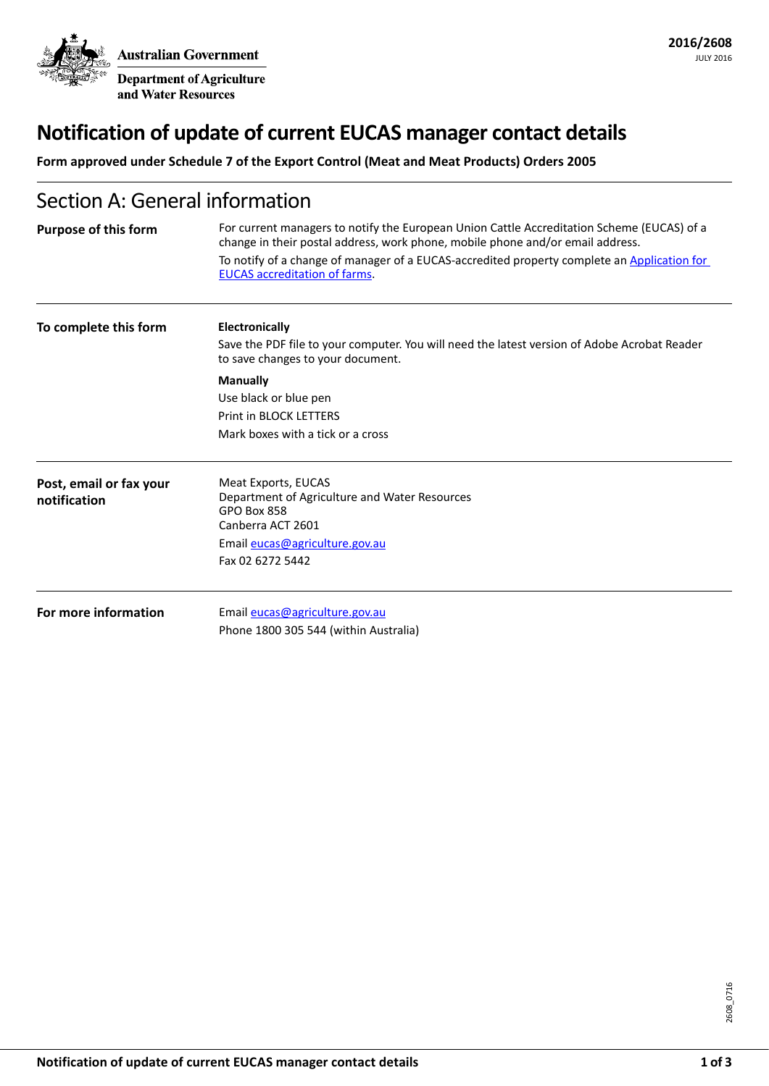**Australian Government Department of Agriculture** 

and Water Resources

# **Notification of update of current EUCAS manager contact details**

**Form approved under Schedule 7 of the Export Control (Meat and Meat Products) Orders 2005**

## Section A: General information

| <b>Purpose of this form</b>             | For current managers to notify the European Union Cattle Accreditation Scheme (EUCAS) of a<br>change in their postal address, work phone, mobile phone and/or email address.<br>To notify of a change of manager of a EUCAS-accredited property complete an Application for<br><b>EUCAS</b> accreditation of farms. |  |  |
|-----------------------------------------|---------------------------------------------------------------------------------------------------------------------------------------------------------------------------------------------------------------------------------------------------------------------------------------------------------------------|--|--|
| To complete this form                   | <b>Electronically</b><br>Save the PDF file to your computer. You will need the latest version of Adobe Acrobat Reader<br>to save changes to your document.                                                                                                                                                          |  |  |
|                                         | <b>Manually</b><br>Use black or blue pen<br><b>Print in BLOCK LETTERS</b><br>Mark boxes with a tick or a cross                                                                                                                                                                                                      |  |  |
| Post, email or fax your<br>notification | Meat Exports, EUCAS<br>Department of Agriculture and Water Resources<br><b>GPO Box 858</b><br>Canberra ACT 2601<br>Email eucas@agriculture.gov.au<br>Fax 02 6272 5442                                                                                                                                               |  |  |
| For more information                    | Email eucas@agriculture.gov.au<br>Phone 1800 305 544 (within Australia)                                                                                                                                                                                                                                             |  |  |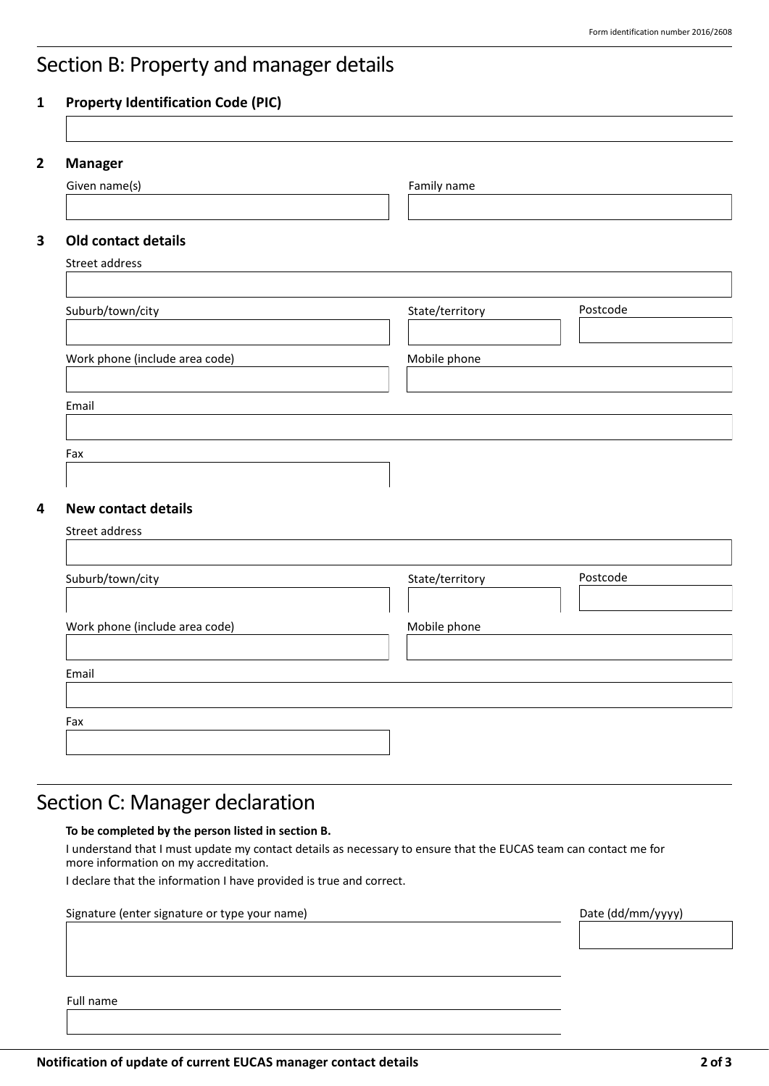## Section B: Property and manager details

#### **1 Property Identification Code (PIC)**

| 2 | <b>Manager</b> |  |
|---|----------------|--|
|   |                |  |

| Given name(s)                  | Family name     |          |  |
|--------------------------------|-----------------|----------|--|
|                                |                 |          |  |
| <b>Old contact details</b>     |                 |          |  |
| Street address                 |                 |          |  |
|                                |                 | Postcode |  |
| Suburb/town/city               | State/territory |          |  |
| Work phone (include area code) | Mobile phone    |          |  |
|                                |                 |          |  |
| Email                          |                 |          |  |
| Fax                            |                 |          |  |
|                                |                 |          |  |
| <b>New contact details</b>     |                 |          |  |
| Street address                 |                 |          |  |
| Suburb/town/city               | State/territory | Postcode |  |
|                                |                 |          |  |
| Work phone (include area code) | Mobile phone    |          |  |
|                                |                 |          |  |
| Email                          |                 |          |  |
|                                |                 |          |  |
| Fax                            |                 |          |  |

## Section C: Manager declaration

#### **To be completed by the person listed in section B.**

I understand that I must update my contact details as necessary to ensure that the EUCAS team can contact me for more information on my accreditation.

I declare that the information I have provided is true and correct.

| Signature (enter signature or type your name) | Date (dd/mm/yyyy) |
|-----------------------------------------------|-------------------|
|                                               |                   |
|                                               |                   |
|                                               |                   |
| Full name                                     |                   |